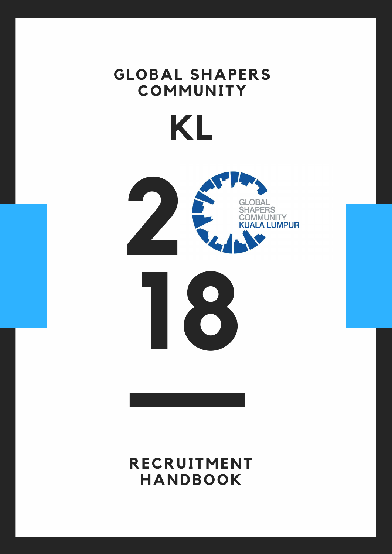





## GLOBAL SHAPERS **C O M M U N I T Y K L**

#### **R E C R U I T M E N T H A N D B O O K**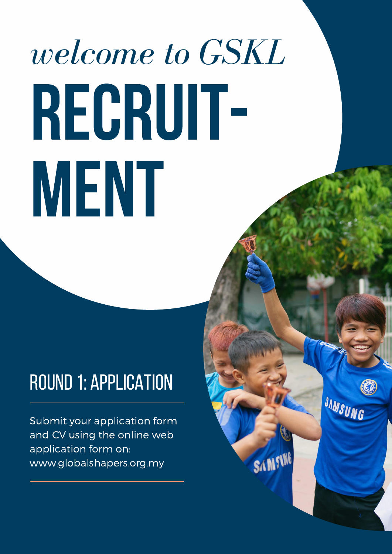# *welcome to GSKL* RECRUT-MENT.

### round1: application

Submit your application form and CV using the online web application form on: www.globalshapers.org.my

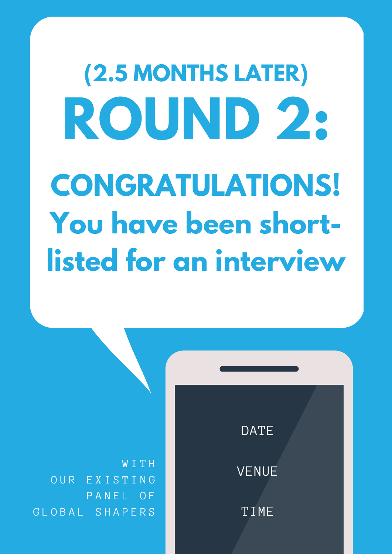

#### VENUE

TIME

**ROUND 2: CONGRATULATIONS! You have been shortlisted for an interview (2.5 MONTHS LATER)**

W I T H OUR EXISTING PANEL OF G L O B A L S H A P E R S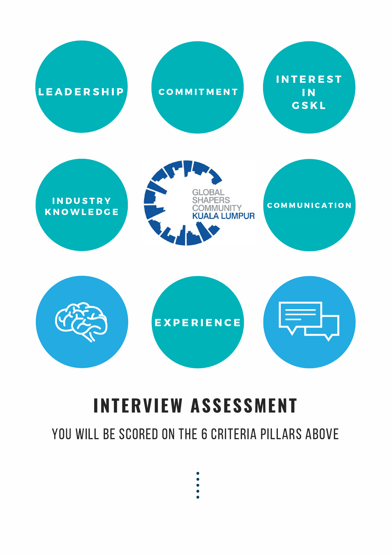#### **INTERVIEW ASSESSMENT**

#### YOU WILL BE SCORED ON THE 6 CRITERIA PILLARS ABOVE

- 
- 



#### **INDUSTRY KNOWLEDGE**



#### **COMMUNICATION**



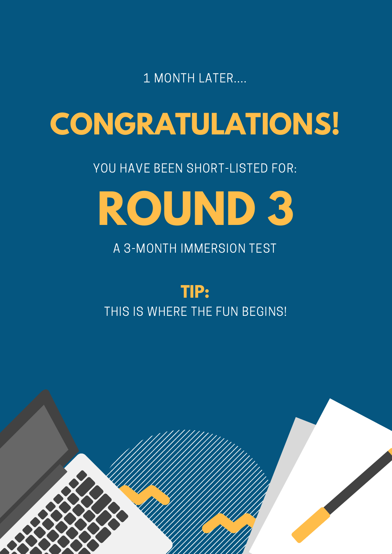#### THIS IS WHERE THE FUN BEGINS!



## **CONGRATULATIONS!**

#### 1 MONTH LATER....

#### YOU HAVE BEEN SHORT-LISTED FOR:

A 3-MONTH IMMERSION TEST



## **ROUND 3**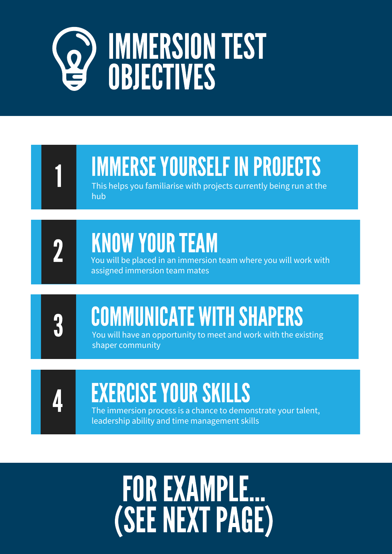## IMMERSION TEST OBJECTIVES

## IMMERSE YOURSELF IN PROJECTS

This helps you familiarise with projects currently being run at the hub

You will have an opportunity to meet and work with the existing shaper community

## EXERCISEYOURSKILLS

The immersion process is a chance to demonstrate your talent, leadership ability and time management skills

1

## KNOW YOUR TEAM



## COMMUNICATE WITH SHAPERS



You will be placed in an immersion team where you will work with assigned immersion team mates

2

## FOREXAMPLE... (SEENEXTPAGE)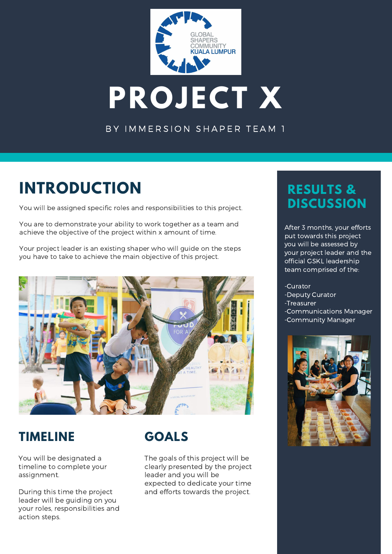

## **PROJECT X**

#### BY IMMERSION SHAPER TEAM 1

#### **INTRODUCTION**

You will be assigned specific roles and responsibilities to this project.

You are to demonstrate your ability to work together as a team and achieve the objective of the project within x amount of time.

Your project leader is an existing shaper who will guide on the steps you have to take to achieve the main objective of this project.



#### **TIMELINE**

You will be designated a timeline to complete your assignment.

During this time the project leader will be guiding on you your roles, responsibilities and action steps.

#### **RESULTS & DISCUSSION**

After 3 months, your efforts put towards this project you will be assessed by your project leader and the official GSKL leadership team comprised of the:

-Curator -Deputy Curator

- -Treasurer -Communications Manager
- -Community Manager



#### **GOALS**

The goals of this project will be clearly presented by the project leader and you will be expected to dedicate your time and efforts towards the project.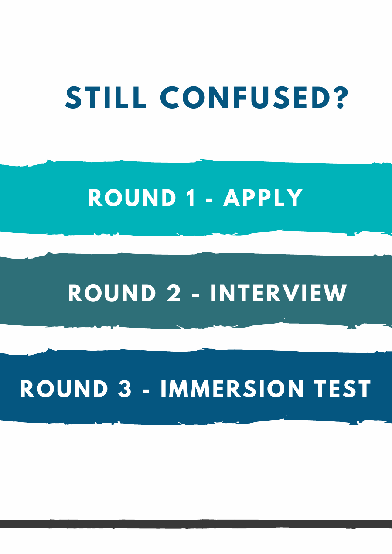## **ROUND 1 - APPLY**

## **ROUND 2 - INTERVIEW**

## **ROUND 3 - IMMERSION TEST**

## **STILL CONFUSED?**